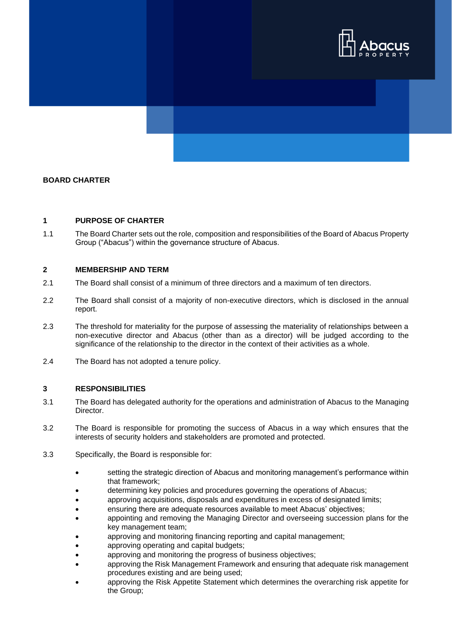

# **BOARD CHARTER**

#### **1 PURPOSE OF CHARTER**

1.1 The Board Charter sets out the role, composition and responsibilities of the Board of Abacus Property Group ("Abacus") within the governance structure of Abacus.

### **2 MEMBERSHIP AND TERM**

- 2.1 The Board shall consist of a minimum of three directors and a maximum of ten directors.
- 2.2 The Board shall consist of a majority of non-executive directors, which is disclosed in the annual report.
- 2.3 The threshold for materiality for the purpose of assessing the materiality of relationships between a non-executive director and Abacus (other than as a director) will be judged according to the significance of the relationship to the director in the context of their activities as a whole.
- 2.4 The Board has not adopted a tenure policy.

#### **3 RESPONSIBILITIES**

- 3.1 The Board has delegated authority for the operations and administration of Abacus to the Managing Director.
- 3.2 The Board is responsible for promoting the success of Abacus in a way which ensures that the interests of security holders and stakeholders are promoted and protected.
- 3.3 Specifically, the Board is responsible for:
	- setting the strategic direction of Abacus and monitoring management's performance within that framework;
	- determining key policies and procedures governing the operations of Abacus;
	- approving acquisitions, disposals and expenditures in excess of designated limits;
	- ensuring there are adequate resources available to meet Abacus' objectives;
	- appointing and removing the Managing Director and overseeing succession plans for the key management team;
	- approving and monitoring financing reporting and capital management;
	- approving operating and capital budgets;
	- approving and monitoring the progress of business objectives;
	- approving the Risk Management Framework and ensuring that adequate risk management procedures existing and are being used;
	- approving the Risk Appetite Statement which determines the overarching risk appetite for the Group;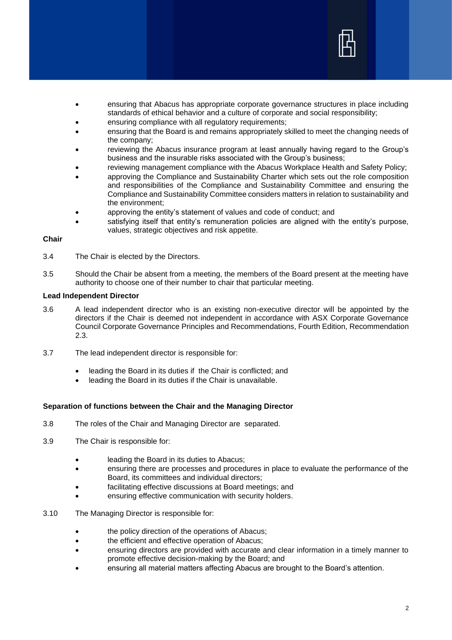

- ensuring that Abacus has appropriate corporate governance structures in place including standards of ethical behavior and a culture of corporate and social responsibility;
- ensuring compliance with all regulatory requirements;
- ensuring that the Board is and remains appropriately skilled to meet the changing needs of the company;
- reviewing the Abacus insurance program at least annually having regard to the Group's business and the insurable risks associated with the Group's business;
- reviewing management compliance with the Abacus Workplace Health and Safety Policy;
- approving the Compliance and Sustainability Charter which sets out the role composition and responsibilities of the Compliance and Sustainability Committee and ensuring the Compliance and Sustainability Committee considers matters in relation to sustainability and the environment;
- approving the entity's statement of values and code of conduct; and
- satisfying itself that entity's remuneration policies are aligned with the entity's purpose, values, strategic objectives and risk appetite.

#### **Chair**

- 3.4 The Chair is elected by the Directors.
- 3.5 Should the Chair be absent from a meeting, the members of the Board present at the meeting have authority to choose one of their number to chair that particular meeting.

#### **Lead Independent Director**

- 3.6 A lead independent director who is an existing non-executive director will be appointed by the directors if the Chair is deemed not independent in accordance with ASX Corporate Governance Council Corporate Governance Principles and Recommendations, Fourth Edition, Recommendation 2.3.
- 3.7 The lead independent director is responsible for:
	- leading the Board in its duties if the Chair is conflicted; and
	- leading the Board in its duties if the Chair is unavailable.

#### **Separation of functions between the Chair and the Managing Director**

- 3.8 The roles of the Chair and Managing Director are separated.
- 3.9 The Chair is responsible for:
	- leading the Board in its duties to Abacus;
	- ensuring there are processes and procedures in place to evaluate the performance of the Board, its committees and individual directors;
	- facilitating effective discussions at Board meetings; and
	- ensuring effective communication with security holders.
- 3.10 The Managing Director is responsible for:
	- **the policy direction of the operations of Abacus;**
	- the efficient and effective operation of Abacus;
	- ensuring directors are provided with accurate and clear information in a timely manner to promote effective decision-making by the Board; and
	- ensuring all material matters affecting Abacus are brought to the Board's attention.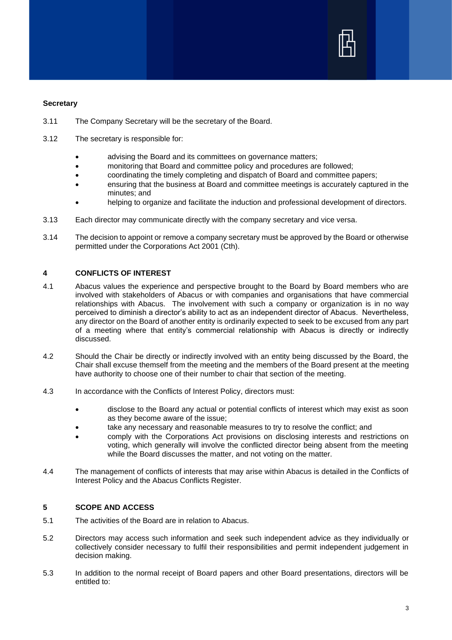

### **Secretary**

- 3.11 The Company Secretary will be the secretary of the Board.
- 3.12 The secretary is responsible for:
	- advising the Board and its committees on governance matters;
	- monitoring that Board and committee policy and procedures are followed;
	- coordinating the timely completing and dispatch of Board and committee papers;
	- ensuring that the business at Board and committee meetings is accurately captured in the minutes; and
	- helping to organize and facilitate the induction and professional development of directors.
- 3.13 Each director may communicate directly with the company secretary and vice versa.
- 3.14 The decision to appoint or remove a company secretary must be approved by the Board or otherwise permitted under the Corporations Act 2001 (Cth).

# **4 CONFLICTS OF INTEREST**

- 4.1 Abacus values the experience and perspective brought to the Board by Board members who are involved with stakeholders of Abacus or with companies and organisations that have commercial relationships with Abacus. The involvement with such a company or organization is in no way perceived to diminish a director's ability to act as an independent director of Abacus. Nevertheless, any director on the Board of another entity is ordinarily expected to seek to be excused from any part of a meeting where that entity's commercial relationship with Abacus is directly or indirectly discussed.
- 4.2 Should the Chair be directly or indirectly involved with an entity being discussed by the Board, the Chair shall excuse themself from the meeting and the members of the Board present at the meeting have authority to choose one of their number to chair that section of the meeting.
- 4.3 In accordance with the Conflicts of Interest Policy, directors must:
	- disclose to the Board any actual or potential conflicts of interest which may exist as soon as they become aware of the issue;
	- take any necessary and reasonable measures to try to resolve the conflict; and
	- comply with the Corporations Act provisions on disclosing interests and restrictions on voting, which generally will involve the conflicted director being absent from the meeting while the Board discusses the matter, and not voting on the matter.
- 4.4 The management of conflicts of interests that may arise within Abacus is detailed in the Conflicts of Interest Policy and the Abacus Conflicts Register.

# **5 SCOPE AND ACCESS**

- 5.1 The activities of the Board are in relation to Abacus.
- 5.2 Directors may access such information and seek such independent advice as they individually or collectively consider necessary to fulfil their responsibilities and permit independent judgement in decision making.
- 5.3 In addition to the normal receipt of Board papers and other Board presentations, directors will be entitled to: